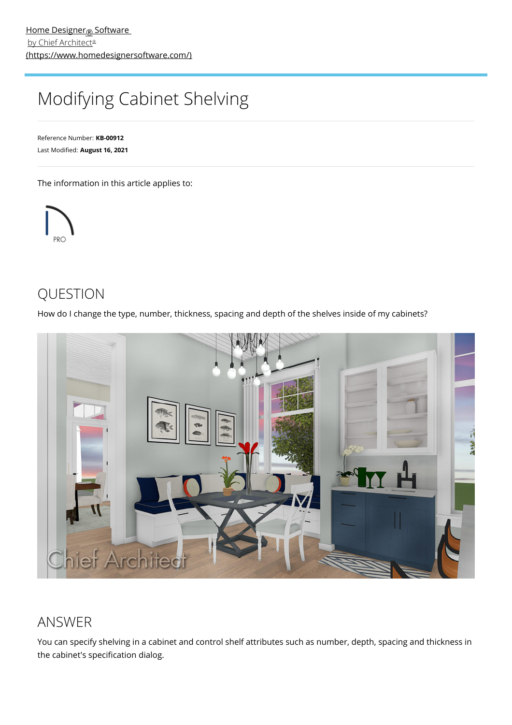# <span id="page-0-0"></span>Modifying Cabinet Shelving

Reference Number: **KB-00912** Last Modified: **August 16, 2021**

The information in this article applies to:



## QUESTION

How do I change the type, number, thickness, spacing and depth of the shelves inside of my cabinets?



### ANSWER

You can specify shelving in a cabinet and control shelf attributes such as number, depth, spacing and thickness in the cabinet's specification dialog.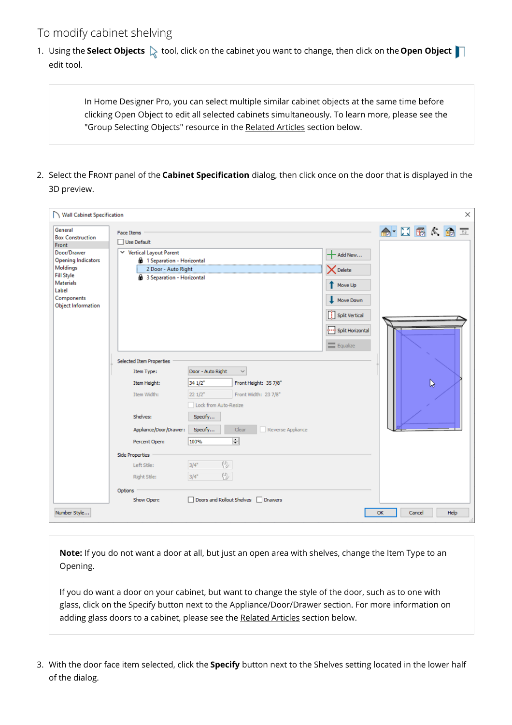#### To modify cabinet shelving

1. Using the **Select Objects**  $\&$  tool, click on the cabinet you want to change, then click on the **Open Object** edit tool.

> In Home Designer Pro, you can select multiple similar cabinet objects at the same time before clicking Open Object to edit all selected cabinets simultaneously. To learn more, please see the "Group Selecting Objects" resource in the [Related](#page-0-0) Articles section below.

2. Select the FRONT panel of the **Cabinet Specification** dialog, then click once on the door that is displayed in the 3D preview.

| Wall Cabinet Specification<br>×                                                                                                                                                                         |                                                                                                                                                                                                                       |                                                                                                                                                                                                                                                                        |                                                                                                      |                      |  |
|---------------------------------------------------------------------------------------------------------------------------------------------------------------------------------------------------------|-----------------------------------------------------------------------------------------------------------------------------------------------------------------------------------------------------------------------|------------------------------------------------------------------------------------------------------------------------------------------------------------------------------------------------------------------------------------------------------------------------|------------------------------------------------------------------------------------------------------|----------------------|--|
| General<br><b>Box Construction</b><br>Front<br>Door/Drawer<br><b>Opening Indicators</b><br><b>Moldings</b><br><b>Fill Style</b><br><b>Materials</b><br>Label<br>Components<br><b>Object Information</b> | <b>Face Items</b><br>Use Default<br>↓ Vertical Layout Parent<br><b>6</b> 1 Separation - Horizontal<br>2 Door - Auto Right<br>3 Separation - Horizontal                                                                |                                                                                                                                                                                                                                                                        | Add New<br><b>X</b> Delete<br>Move Up<br>Move Down<br>Split Vertical<br>Split Horizontal<br>Equalize | 命 口隔大角工              |  |
|                                                                                                                                                                                                         | <b>Selected Item Properties</b><br>Item Type:<br>Item Height:<br>Item Width:<br>Shelves:<br>Appliance/Door/Drawer:<br>Percent Open:<br><b>Side Properties</b><br>Left Stile:<br>Right Stile:<br>Options<br>Show Open: | Door - Auto Right<br>$\checkmark$<br>34 1/2"<br>Front Height: 35 7/8"<br>221/2"<br>Front Width: 23 7/8"<br>Lock from Auto-Resize<br>Specify<br>Clear<br>Reverse Appliance<br>Specify<br>$\div$<br>100%<br>만<br>3/4"<br>42<br>3/4"<br>Doors and Rollout Shelves Drawers |                                                                                                      | B                    |  |
| Number Style                                                                                                                                                                                            |                                                                                                                                                                                                                       |                                                                                                                                                                                                                                                                        |                                                                                                      | Help<br>OK<br>Cancel |  |

**Note:** If you do not want a door at all, but just an open area with shelves, change the Item Type to an Opening.

If you do want a door on your cabinet, but want to change the style of the door, such as to one with glass, click on the Specify button next to the Appliance/Door/Drawer section. For more information on adding glass doors to a cabinet, please see the [Related](#page-0-0) Articles section below.

3. With the door face item selected, click the **Specify** button next to the Shelves setting located in the lower half of the dialog.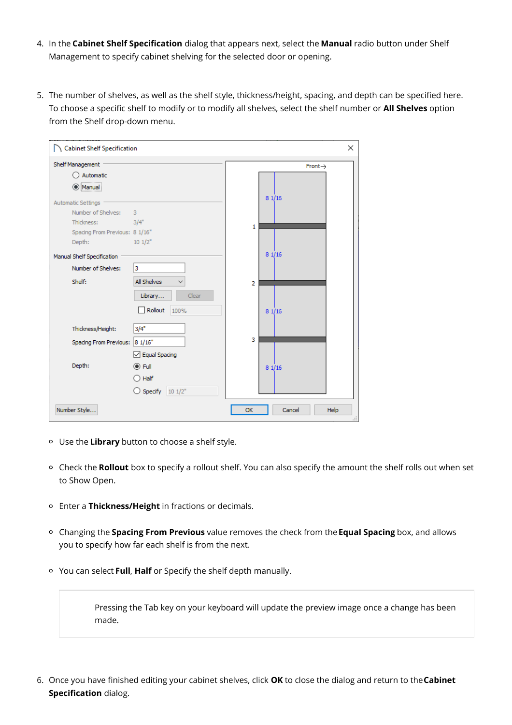- 4. In the **Cabinet Shelf Specification** dialog that appears next, select the **Manual** radio button under Shelf Management to specify cabinet shelving for the selected door or opening.
- 5. The number of shelves, as well as the shelf style, thickness/height, spacing, and depth can be specified here. To choose a specific shelf to modify or to modify all shelves, select the shelf number or **All Shelves** option from the Shelf drop-down menu.

| Cabinet Shelf Specification<br>×            |                     |  |  |  |  |  |
|---------------------------------------------|---------------------|--|--|--|--|--|
| Shelf Management                            | $Front \rightarrow$ |  |  |  |  |  |
| Automatic                                   |                     |  |  |  |  |  |
| Manual<br>О                                 |                     |  |  |  |  |  |
| <b>Automatic Settings</b>                   | 81/16               |  |  |  |  |  |
| Number of Shelves:<br>3                     |                     |  |  |  |  |  |
| Thickness:<br>3/4"                          | 1                   |  |  |  |  |  |
| Spacing From Previous: 8 1/16"              |                     |  |  |  |  |  |
| 101/2"<br>Depth:                            |                     |  |  |  |  |  |
| Manual Shelf Specification                  | 81/16               |  |  |  |  |  |
| Number of Shelves:<br>3                     |                     |  |  |  |  |  |
| All Shelves<br>Shelf:                       | 2                   |  |  |  |  |  |
| Clear<br>Library                            |                     |  |  |  |  |  |
| Rollout<br>100%                             | 81/16               |  |  |  |  |  |
| Thickness/Height:<br>3/4"                   |                     |  |  |  |  |  |
| 81/16"<br>Spacing From Previous:            | 3                   |  |  |  |  |  |
| $\sqrt{\phantom{a}}$ Equal Spacing          |                     |  |  |  |  |  |
| Depth:<br>$\odot$ Full                      | 81/16               |  |  |  |  |  |
| $\bigcirc$ Half                             |                     |  |  |  |  |  |
| $\bigcirc$ Specify $10 \frac{1}{2}$         |                     |  |  |  |  |  |
| Number Style<br><b>OK</b><br>Cancel<br>Help |                     |  |  |  |  |  |

- Use the **Library** button to choose a shelf style.
- Check the **Rollout** box to specify a rollout shelf. You can also specify the amount the shelf rolls out when set to Show Open.
- Enter a **Thickness/Height** in fractions or decimals.
- Changing the **Spacing From Previous** value removes the check from the**Equal Spacing** box, and allows you to specify how far each shelf is from the next.
- You can select **Full**, **Half** or Specify the shelf depth manually.

Pressing the Tab key on your keyboard will update the preview image once a change has been made.

6. Once you have finished editing your cabinet shelves, click **OK** to close the dialog and return to the**Cabinet Specification** dialog.